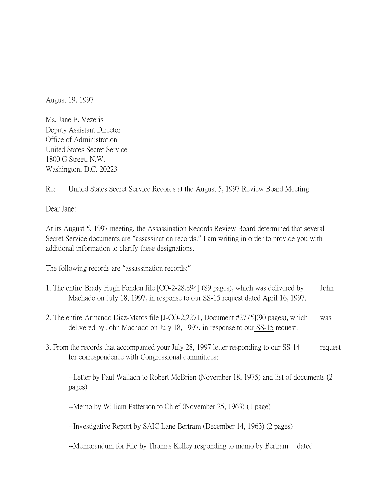August 19, 1997

Ms. Jane E. Vezeris Deputy Assistant Director Office of Administration United States Secret Service 1800 G Street, N.W. Washington, D.C. 20223

## Re: United States Secret Service Records at the August 5, 1997 Review Board Meeting

Dear Jane:

At its August 5, 1997 meeting, the Assassination Records Review Board determined that several Secret Service documents are "assassination records." I am writing in order to provide you with additional information to clarify these designations.

The following records are "assassination records:"

- 1. The entire Brady Hugh Fonden file [CO-2-28,894] (89 pages), which was delivered by John Machado on July 18, 1997, in response to our SS-15 request dated April 16, 1997.
- 2. The entire Armando Diaz-Matos file [J-CO-2,2271, Document #2775](90 pages), which was delivered by John Machado on July 18, 1997, in response to our SS-15 request.
- 3. From the records that accompanied your July 28, 1997 letter responding to our SS-14 request for correspondence with Congressional committees:

--Letter by Paul Wallach to Robert McBrien (November 18, 1975) and list of documents (2 pages)

--Memo by William Patterson to Chief (November 25, 1963) (1 page)

--Investigative Report by SAIC Lane Bertram (December 14, 1963) (2 pages)

--Memorandum for File by Thomas Kelley responding to memo by Bertram dated